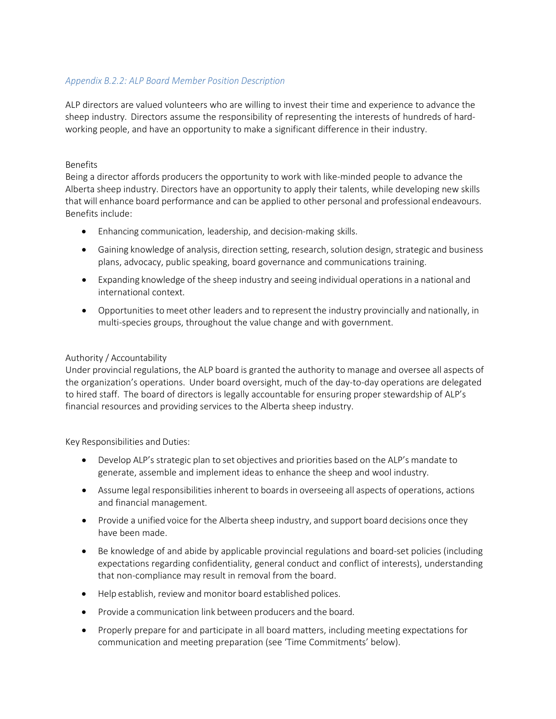# *Appendix B.2.2: ALP Board Member Position Description*

ALP directors are valued volunteers who are willing to invest their time and experience to advance the sheep industry. Directors assume the responsibility of representing the interests of hundreds of hardworking people, and have an opportunity to make a significant difference in their industry.

### Benefits

Being a director affords producers the opportunity to work with like-minded people to advance the Alberta sheep industry. Directors have an opportunity to apply their talents, while developing new skills that will enhance board performance and can be applied to other personal and professional endeavours. Benefits include:

- Enhancing communication, leadership, and decision-making skills.
- Gaining knowledge of analysis, direction setting, research, solution design, strategic and business plans, advocacy, public speaking, board governance and communications training.
- Expanding knowledge of the sheep industry and seeing individual operations in a national and international context.
- Opportunities to meet other leaders and to represent the industry provincially and nationally, in multi-species groups, throughout the value change and with government.

## Authority / Accountability

Under provincial regulations, the ALP board is granted the authority to manage and oversee all aspects of the organization's operations. Under board oversight, much of the day-to-day operations are delegated to hired staff. The board of directors is legally accountable for ensuring proper stewardship of ALP's financial resources and providing services to the Alberta sheep industry.

Key Responsibilities and Duties:

- Develop ALP's strategic plan to set objectives and priorities based on the ALP's mandate to generate, assemble and implement ideas to enhance the sheep and wool industry.
- Assume legal responsibilities inherent to boards in overseeing all aspects of operations, actions and financial management.
- Provide a unified voice for the Alberta sheep industry, and support board decisions once they have been made.
- Be knowledge of and abide by applicable provincial regulations and board-set policies (including expectations regarding confidentiality, general conduct and conflict of interests), understanding that non-compliance may result in removal from the board.
- Help establish, review and monitor board established polices.
- Provide a communication link between producers and the board.
- Properly prepare for and participate in all board matters, including meeting expectations for communication and meeting preparation (see 'Time Commitments' below).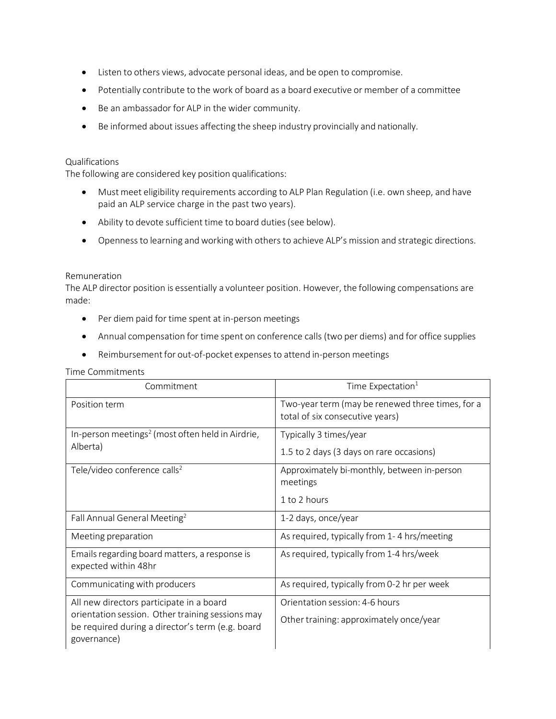- Listen to others views, advocate personal ideas, and be open to compromise.
- Potentially contribute to the work of board as a board executive or member of a committee
- Be an ambassador for ALP in the wider community.
- Be informed about issues affecting the sheep industry provincially and nationally.

### Qualifications

The following are considered key position qualifications:

- Must meet eligibility requirements according to ALP Plan Regulation (i.e. own sheep, and have paid an ALP service charge in the past two years).
- Ability to devote sufficient time to board duties(see below).
- Openness to learning and working with others to achieve ALP's mission and strategic directions.

### Remuneration

The ALP director position is essentially a volunteer position. However, the following compensations are made:

- Per diem paid for time spent at in-person meetings
- Annual compensation for time spent on conference calls (two per diems) and for office supplies
- Reimbursement for out-of-pocket expenses to attend in-person meetings

#### Time Commitments

| Commitment                                                                                                                                                      | Time Expectation <sup>1</sup>                                                       |
|-----------------------------------------------------------------------------------------------------------------------------------------------------------------|-------------------------------------------------------------------------------------|
| Position term                                                                                                                                                   | Two-year term (may be renewed three times, for a<br>total of six consecutive years) |
| In-person meetings <sup>2</sup> (most often held in Airdrie,<br>Alberta)                                                                                        | Typically 3 times/year<br>1.5 to 2 days (3 days on rare occasions)                  |
| Tele/video conference calls <sup>2</sup>                                                                                                                        | Approximately bi-monthly, between in-person<br>meetings<br>1 to 2 hours             |
| Fall Annual General Meeting <sup>2</sup>                                                                                                                        | 1-2 days, once/year                                                                 |
| Meeting preparation                                                                                                                                             | As required, typically from 1-4 hrs/meeting                                         |
| Emails regarding board matters, a response is<br>expected within 48hr                                                                                           | As required, typically from 1-4 hrs/week                                            |
| Communicating with producers                                                                                                                                    | As required, typically from 0-2 hr per week                                         |
| All new directors participate in a board<br>orientation session. Other training sessions may<br>be required during a director's term (e.g. board<br>governance) | Orientation session: 4-6 hours<br>Other training: approximately once/year           |